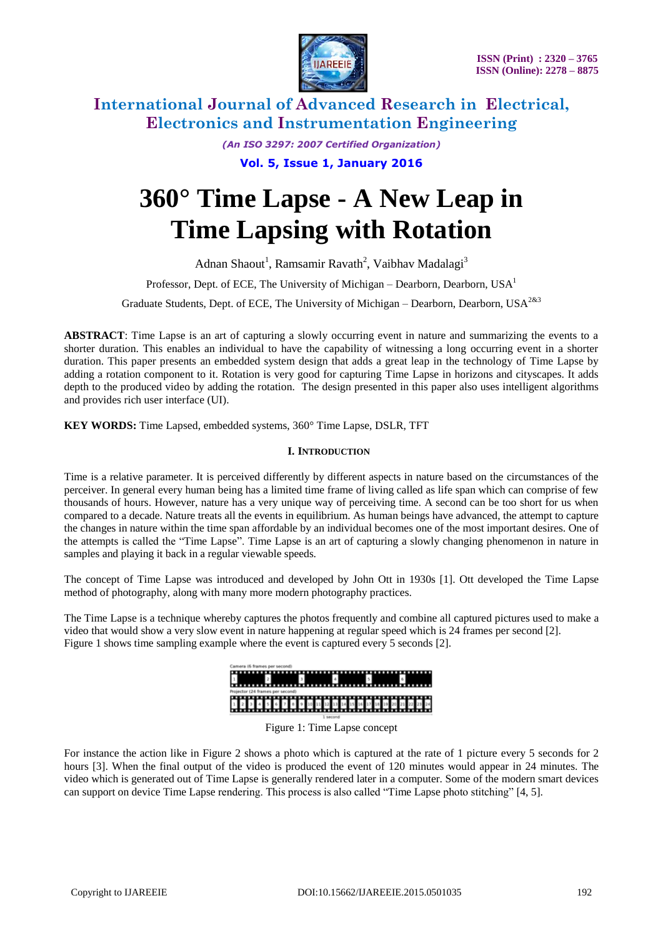

*(An ISO 3297: 2007 Certified Organization)*

**Vol. 5, Issue 1, January 2016**

# **360° Time Lapse - A New Leap in Time Lapsing with Rotation**

Adnan Shaout<sup>1</sup>, Ramsamir Ravath<sup>2</sup>, Vaibhav Madalagi<sup>3</sup>

Professor, Dept. of ECE, The University of Michigan – Dearborn, Dearborn, USA<sup>1</sup>

Graduate Students, Dept. of ECE, The University of Michigan – Dearborn, Dearborn, USA<sup>2&3</sup>

**ABSTRACT**: Time Lapse is an art of capturing a slowly occurring event in nature and summarizing the events to a shorter duration. This enables an individual to have the capability of witnessing a long occurring event in a shorter duration. This paper presents an embedded system design that adds a great leap in the technology of Time Lapse by adding a rotation component to it. Rotation is very good for capturing Time Lapse in horizons and cityscapes. It adds depth to the produced video by adding the rotation. The design presented in this paper also uses intelligent algorithms and provides rich user interface (UI).

**KEY WORDS:** Time Lapsed, embedded systems, 360° Time Lapse, DSLR, TFT

### **I. INTRODUCTION**

Time is a relative parameter. It is perceived differently by different aspects in nature based on the circumstances of the perceiver. In general every human being has a limited time frame of living called as life span which can comprise of few thousands of hours. However, nature has a very unique way of perceiving time. A second can be too short for us when compared to a decade. Nature treats all the events in equilibrium. As human beings have advanced, the attempt to capture the changes in nature within the time span affordable by an individual becomes one of the most important desires. One of the attempts is called the "Time Lapse". Time Lapse is an art of capturing a slowly changing phenomenon in nature in samples and playing it back in a regular viewable speeds.

The concept of Time Lapse was introduced and developed by John Ott in 1930s [1]. Ott developed the Time Lapse method of photography, along with many more modern photography practices.

The Time Lapse is a technique whereby captures the photos frequently and combine all captured pictures used to make a video that would show a very slow event in nature happening at regular speed which is 24 frames per second [2]. Figure 1 shows time sampling example where the event is captured every 5 seconds [2].



Figure 1: Time Lapse concept

For instance the action like in Figure 2 shows a photo which is captured at the rate of 1 picture every 5 seconds for 2 hours [3]. When the final output of the video is produced the event of 120 minutes would appear in 24 minutes. The video which is generated out of Time Lapse is generally rendered later in a computer. Some of the modern smart devices can support on device Time Lapse rendering. This process is also called "Time Lapse photo stitching" [4, 5].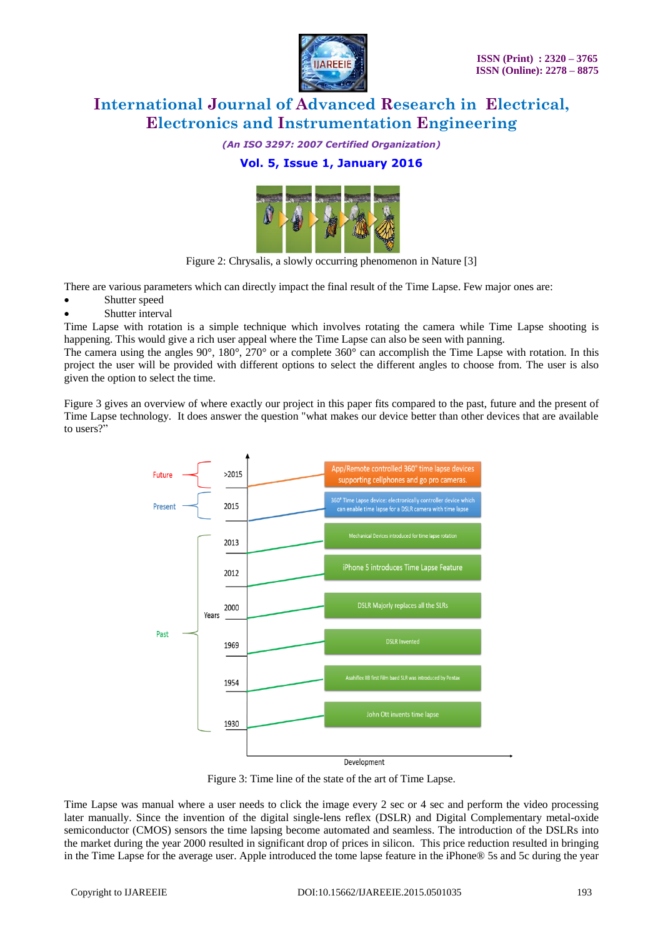

*(An ISO 3297: 2007 Certified Organization)*

### **Vol. 5, Issue 1, January 2016**



Figure 2: Chrysalis, a slowly occurring phenomenon in Nature [3]

There are various parameters which can directly impact the final result of the Time Lapse. Few major ones are:

- Shutter speed
- Shutter interval

Time Lapse with rotation is a simple technique which involves rotating the camera while Time Lapse shooting is happening. This would give a rich user appeal where the Time Lapse can also be seen with panning.

The camera using the angles  $90^\circ$ ,  $180^\circ$ ,  $270^\circ$  or a complete  $360^\circ$  can accomplish the Time Lapse with rotation. In this project the user will be provided with different options to select the different angles to choose from. The user is also given the option to select the time.

Figure 3 gives an overview of where exactly our project in this paper fits compared to the past, future and the present of Time Lapse technology. It does answer the question "what makes our device better than other devices that are available to users?"



Figure 3: Time line of the state of the art of Time Lapse.

Time Lapse was manual where a user needs to click the image every 2 sec or 4 sec and perform the video processing later manually. Since the invention of the digital single-lens reflex (DSLR) and Digital Complementary metal-oxide semiconductor (CMOS) sensors the time lapsing become automated and seamless. The introduction of the DSLRs into the market during the year 2000 resulted in significant drop of prices in silicon. This price reduction resulted in bringing in the Time Lapse for the average user. Apple introduced the tome lapse feature in the iPhone® 5s and 5c during the year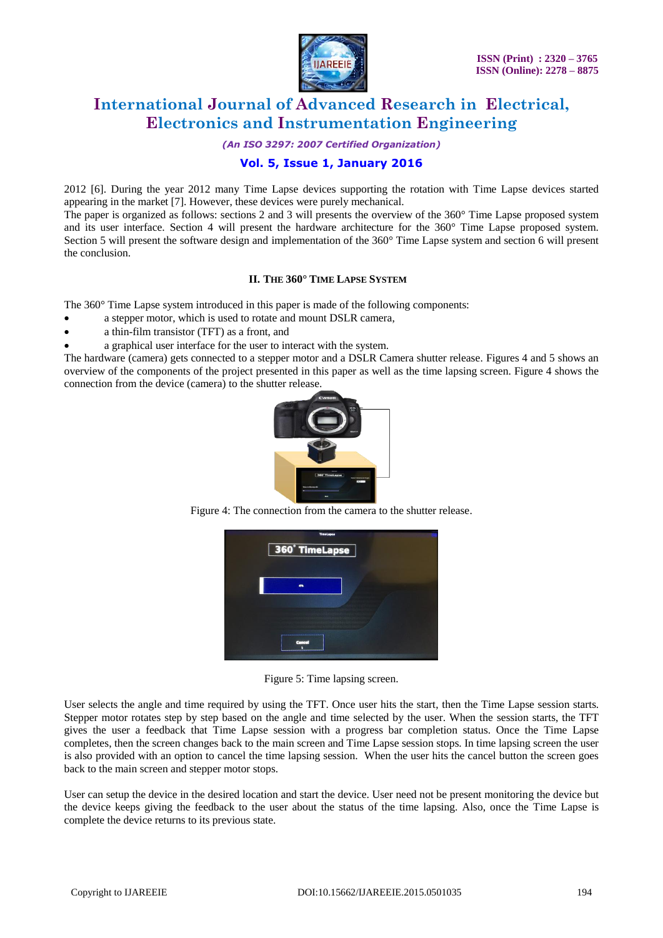

*(An ISO 3297: 2007 Certified Organization)*

### **Vol. 5, Issue 1, January 2016**

2012 [6]. During the year 2012 many Time Lapse devices supporting the rotation with Time Lapse devices started appearing in the market [7]. However, these devices were purely mechanical.

The paper is organized as follows: sections 2 and 3 will presents the overview of the 360° Time Lapse proposed system and its user interface. Section 4 will present the hardware architecture for the 360° Time Lapse proposed system. Section 5 will present the software design and implementation of the 360° Time Lapse system and section 6 will present the conclusion.

### **II. THE 360° TIME LAPSE SYSTEM**

The 360° Time Lapse system introduced in this paper is made of the following components:

- a stepper motor, which is used to rotate and mount DSLR camera,
- a thin-film transistor (TFT) as a front, and
- a graphical user interface for the user to interact with the system.

The hardware (camera) gets connected to a stepper motor and a DSLR Camera shutter release. Figures 4 and 5 shows an overview of the components of the project presented in this paper as well as the time lapsing screen. Figure 4 shows the connection from the device (camera) to the shutter release.



Figure 4: The connection from the camera to the shutter release.



Figure 5: Time lapsing screen.

User selects the angle and time required by using the TFT. Once user hits the start, then the Time Lapse session starts. Stepper motor rotates step by step based on the angle and time selected by the user. When the session starts, the TFT gives the user a feedback that Time Lapse session with a progress bar completion status. Once the Time Lapse completes, then the screen changes back to the main screen and Time Lapse session stops. In time lapsing screen the user is also provided with an option to cancel the time lapsing session. When the user hits the cancel button the screen goes back to the main screen and stepper motor stops.

User can setup the device in the desired location and start the device. User need not be present monitoring the device but the device keeps giving the feedback to the user about the status of the time lapsing. Also, once the Time Lapse is complete the device returns to its previous state.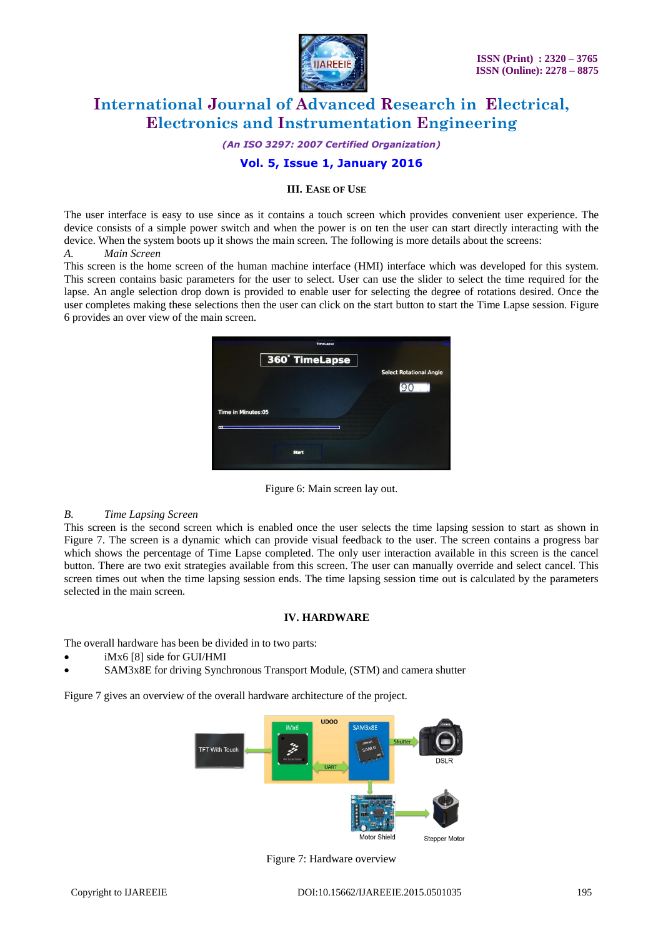

*(An ISO 3297: 2007 Certified Organization)*

### **Vol. 5, Issue 1, January 2016**

### **III. EASE OF USE**

The user interface is easy to use since as it contains a touch screen which provides convenient user experience. The device consists of a simple power switch and when the power is on ten the user can start directly interacting with the device. When the system boots up it shows the main screen*.* The following is more details about the screens: *A. Main Screen*

This screen is the home screen of the human machine interface (HMI) interface which was developed for this system. This screen contains basic parameters for the user to select. User can use the slider to select the time required for the lapse. An angle selection drop down is provided to enable user for selecting the degree of rotations desired. Once the user completes making these selections then the user can click on the start button to start the Time Lapse session. Figure 6 provides an over view of the main screen.

|                           | <b>TimeLapse</b> |                                |
|---------------------------|------------------|--------------------------------|
|                           | 360° TimeLapse   | <b>Select Rotational Angle</b> |
|                           |                  |                                |
| <b>Time in Minutes:05</b> |                  |                                |
| ▬                         |                  |                                |
|                           | <b>Start</b>     |                                |
|                           |                  |                                |

Figure 6: Main screen lay out.

### *B. Time Lapsing Screen*

This screen is the second screen which is enabled once the user selects the time lapsing session to start as shown in Figure 7. The screen is a dynamic which can provide visual feedback to the user. The screen contains a progress bar which shows the percentage of Time Lapse completed. The only user interaction available in this screen is the cancel button. There are two exit strategies available from this screen. The user can manually override and select cancel. This screen times out when the time lapsing session ends. The time lapsing session time out is calculated by the parameters selected in the main screen*.* 

### **IV. HARDWARE**

The overall hardware has been be divided in to two parts:

- iMx6 [8] side for GUI/HMI
- SAM3x8E for driving Synchronous Transport Module, (STM) and camera shutter

Figure 7 gives an overview of the overall hardware architecture of the project.



Figure 7: Hardware overview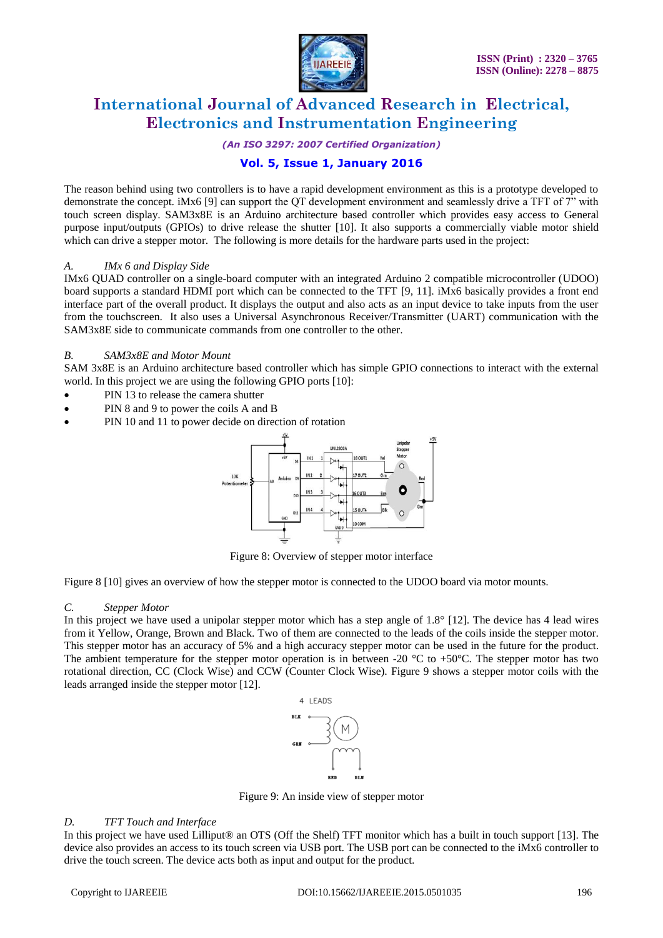

*(An ISO 3297: 2007 Certified Organization)*

## **Vol. 5, Issue 1, January 2016**

The reason behind using two controllers is to have a rapid development environment as this is a prototype developed to demonstrate the concept. iMx6 [9] can support the QT development environment and seamlessly drive a TFT of 7" with touch screen display. SAM3x8E is an Arduino architecture based controller which provides easy access to General purpose input/outputs (GPIOs) to drive release the shutter [10]. It also supports a commercially viable motor shield which can drive a stepper motor. The following is more details for the hardware parts used in the project:

### *A. IMx 6 and Display Side*

IMx6 QUAD controller on a single-board computer with an integrated Arduino 2 compatible microcontroller (UDOO) board supports a standard HDMI port which can be connected to the TFT [9, 11]. iMx6 basically provides a front end interface part of the overall product. It displays the output and also acts as an input device to take inputs from the user from the touchscreen. It also uses a Universal Asynchronous Receiver/Transmitter (UART) communication with the SAM3x8E side to communicate commands from one controller to the other.

#### *B. SAM3x8E and Motor Mount*

SAM 3x8E is an Arduino architecture based controller which has simple GPIO connections to interact with the external world. In this project we are using the following GPIO ports [10]:

- PIN 13 to release the camera shutter
- PIN 8 and 9 to power the coils A and B
- PIN 10 and 11 to power decide on direction of rotation



Figure 8: Overview of stepper motor interface

Figure 8 [10] gives an overview of how the stepper motor is connected to the UDOO board via motor mounts.

#### *C. Stepper Motor*

In this project we have used a unipolar stepper motor which has a step angle of  $1.8^\circ$  [12]. The device has 4 lead wires from it Yellow, Orange, Brown and Black. Two of them are connected to the leads of the coils inside the stepper motor. This stepper motor has an accuracy of 5% and a high accuracy stepper motor can be used in the future for the product. The ambient temperature for the stepper motor operation is in between -20  $^{\circ}$ C to +50 $^{\circ}$ C. The stepper motor has two rotational direction, CC (Clock Wise) and CCW (Counter Clock Wise). Figure 9 shows a stepper motor coils with the leads arranged inside the stepper motor [12].



Figure 9: An inside view of stepper motor

#### *D. TFT Touch and Interface*

In this project we have used Lilliput<sup>®</sup> an OTS (Off the Shelf) TFT monitor which has a built in touch support [13]. The device also provides an access to its touch screen via USB port. The USB port can be connected to the iMx6 controller to drive the touch screen. The device acts both as input and output for the product.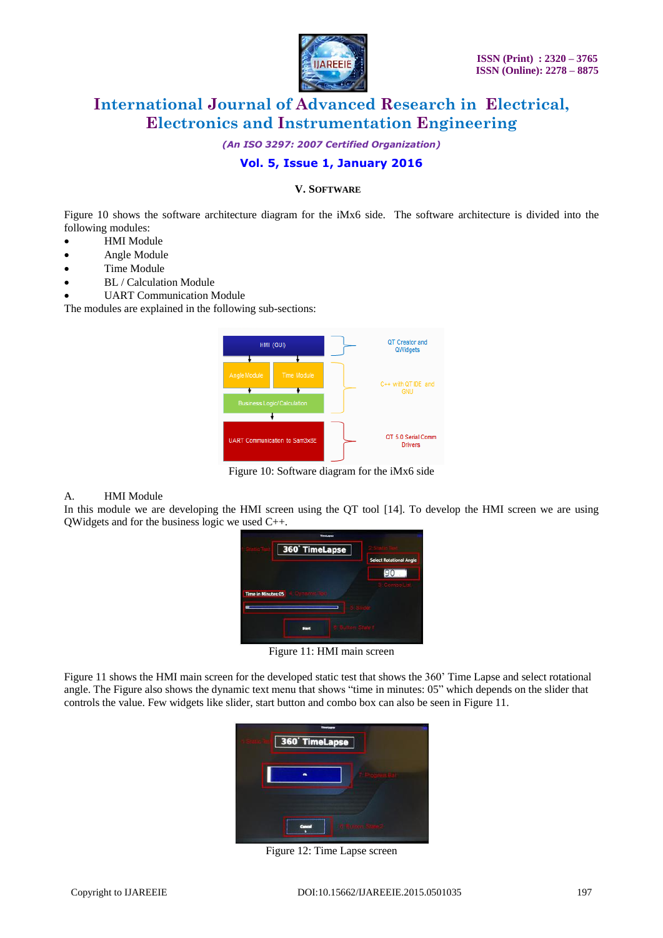

*(An ISO 3297: 2007 Certified Organization)*

### **Vol. 5, Issue 1, January 2016**

### **V. SOFTWARE**

Figure 10 shows the software architecture diagram for the iMx6 side. The software architecture is divided into the following modules:

- HMI Module
- Angle Module
- Time Module
- BL / Calculation Module
- UART Communication Module

The modules are explained in the following sub-sections:

| HMI (GUI)                                                                | QT Creator and<br>QWidgets           |
|--------------------------------------------------------------------------|--------------------------------------|
| <b>Time Module</b><br>Angle Module<br><b>Business Logic/ Calculation</b> | C++ with QT IDE and<br><b>GNU</b>    |
| UART Communication to Sam3x8E                                            | QT 5.0 Serial Comm<br><b>Drivers</b> |

Figure 10: Software diagram for the iMx6 side

#### A. HMI Module

In this module we are developing the HMI screen using the QT tool [14]. To develop the HMI screen we are using QWidgets and for the business logic we used C++.



Figure 11: HMI main screen

Figure 11 shows the HMI main screen for the developed static test that shows the 360' Time Lapse and select rotational angle. The Figure also shows the dynamic text menu that shows "time in minutes: 05" which depends on the slider that controls the value. Few widgets like slider, start button and combo box can also be seen in Figure 11.



Figure 12: Time Lapse screen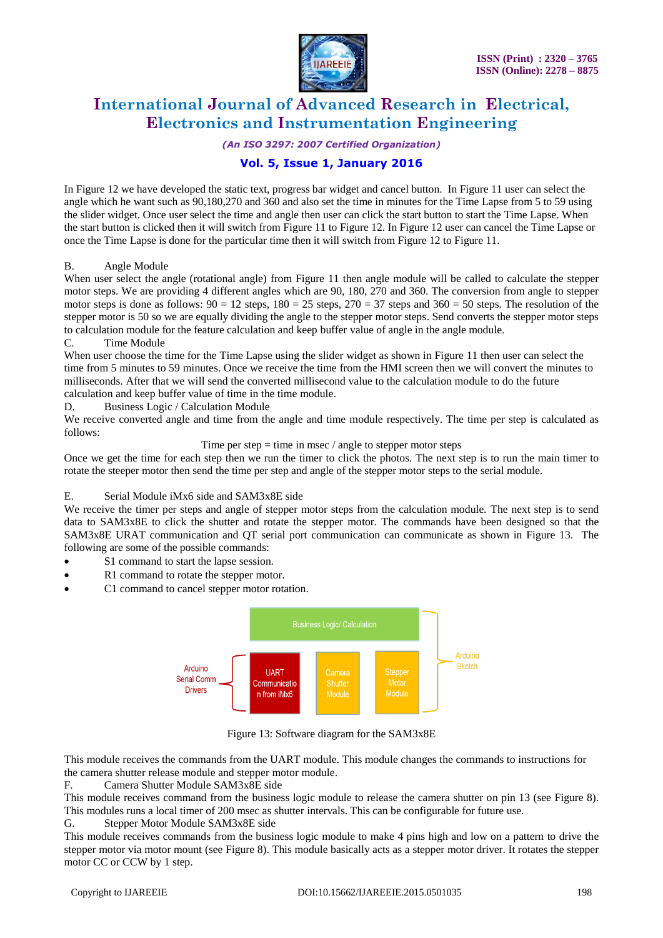

*(An ISO 3297: 2007 Certified Organization)*

## **Vol. 5, Issue 1, January 2016**

In Figure 12 we have developed the static text, progress bar widget and cancel button. In Figure 11 user can select the angle which he want such as 90,180,270 and 360 and also set the time in minutes for the Time Lapse from 5 to 59 using the slider widget. Once user select the time and angle then user can click the start button to start the Time Lapse. When the start button is clicked then it will switch from Figure 11 to Figure 12. In Figure 12 user can cancel the Time Lapse or once the Time Lapse is done for the particular time then it will switch from Figure 12 to Figure 11.

### B. Angle Module

When user select the angle (rotational angle) from Figure 11 then angle module will be called to calculate the stepper motor steps. We are providing 4 different angles which are 90, 180, 270 and 360. The conversion from angle to stepper motor steps is done as follows:  $90 = 12$  steps,  $180 = 25$  steps,  $270 = 37$  steps and  $360 = 50$  steps. The resolution of the stepper motor is 50 so we are equally dividing the angle to the stepper motor steps. Send converts the stepper motor steps to calculation module for the feature calculation and keep buffer value of angle in the angle module.

#### C. Time Module

When user choose the time for the Time Lapse using the slider widget as shown in Figure 11 then user can select the time from 5 minutes to 59 minutes. Once we receive the time from the HMI screen then we will convert the minutes to milliseconds. After that we will send the converted millisecond value to the calculation module to do the future calculation and keep buffer value of time in the time module.

D. Business Logic / Calculation Module

We receive converted angle and time from the angle and time module respectively. The time per step is calculated as follows:

Time per step  $=$  time in msec  $/$  angle to stepper motor steps

Once we get the time for each step then we run the timer to click the photos. The next step is to run the main timer to rotate the steeper motor then send the time per step and angle of the stepper motor steps to the serial module.

### E. Serial Module iMx6 side and SAM3x8E side

We receive the timer per steps and angle of stepper motor steps from the calculation module. The next step is to send data to SAM3x8E to click the shutter and rotate the stepper motor. The commands have been designed so that the SAM3x8E URAT communication and QT serial port communication can communicate as shown in Figure 13. The following are some of the possible commands:

- S1 command to start the lapse session.
- R1 command to rotate the stepper motor.
- C1 command to cancel stepper motor rotation.



Figure 13: Software diagram for the SAM3x8E

This module receives the commands from the UART module. This module changes the commands to instructions for the camera shutter release module and stepper motor module.

F*.* Camera Shutter Module SAM3x8E side

This module receives command from the business logic module to release the camera shutter on pin 13 (see Figure 8). This modules runs a local timer of 200 msec as shutter intervals. This can be configurable for future use.

### G. Stepper Motor Module SAM3x8E side

This module receives commands from the business logic module to make 4 pins high and low on a pattern to drive the stepper motor via motor mount (see Figure 8). This module basically acts as a stepper motor driver. It rotates the stepper motor CC or CCW by 1 step.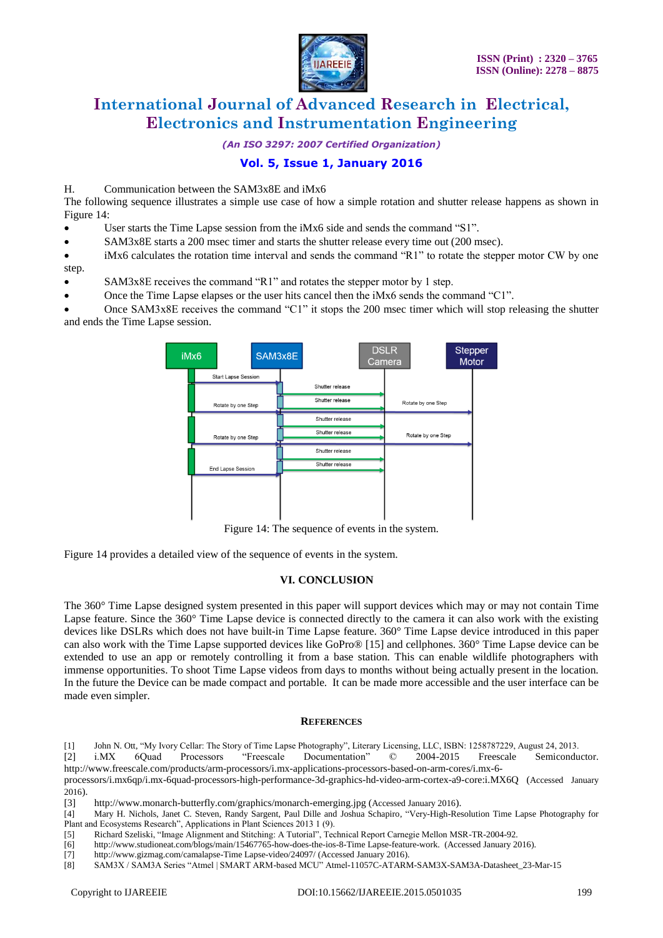

*(An ISO 3297: 2007 Certified Organization)*

### **Vol. 5, Issue 1, January 2016**

### H. Communication between the SAM3x8E and iMx6

The following sequence illustrates a simple use case of how a simple rotation and shutter release happens as shown in Figure 14:

- User starts the Time Lapse session from the iMx6 side and sends the command "S1".
- SAM3x8E starts a 200 msec timer and starts the shutter release every time out (200 msec).

 iMx6 calculates the rotation time interval and sends the command "R1" to rotate the stepper motor CW by one step.

- SAM3x8E receives the command "R1" and rotates the stepper motor by 1 step.
- Once the Time Lapse elapses or the user hits cancel then the iMx6 sends the command "C1".

 Once SAM3x8E receives the command "C1" it stops the 200 msec timer which will stop releasing the shutter and ends the Time Lapse session.



Figure 14: The sequence of events in the system.

Figure 14 provides a detailed view of the sequence of events in the system.

### **VI. CONCLUSION**

The 360° Time Lapse designed system presented in this paper will support devices which may or may not contain Time Lapse feature. Since the 360° Time Lapse device is connected directly to the camera it can also work with the existing devices like DSLRs which does not have built-in Time Lapse feature. 360° Time Lapse device introduced in this paper can also work with the Time Lapse supported devices like GoPro® [15] and cellphones. 360° Time Lapse device can be extended to use an app or remotely controlling it from a base station. This can enable wildlife photographers with immense opportunities. To shoot Time Lapse videos from days to months without being actually present in the location. In the future the Device can be made compact and portable. It can be made more accessible and the user interface can be made even simpler.

#### **REFERENCES**

[1] John N. Ott, "My Ivory Cellar: The Story of Time Lapse Photography", Literary Licensing, LLC, ISBN: 1258787229, August 24, 2013.

[2] i.MX 6Quad Processors "Freescale Documentation" © 2004-2015 Freescale Semiconductor. http://www.freescale.com/products/arm-processors/i.mx-applications-processors-based-on-arm-cores/i.mx-6-

processors/i.mx6qp/i.mx-6quad-processors-high-performance-3d-graphics-hd-video-arm-cortex-a9-core:i.MX6Q (Accessed January  $2016$ ).

<sup>[3]</sup> http://www.monarch-butterfly.com/graphics/monarch-emerging.jpg (Accessed January 2016).

<sup>[4]</sup> Mary H. Nichols, Janet C. Steven, Randy Sargent, Paul Dille and Joshua Schapiro, "Very-High-Resolution Time Lapse Photography for Plant and Ecosystems Research", Applications in Plant Sciences 2013 1 (9).

<sup>[5]</sup> Richard Szeliski, "Image Alignment and Stitching: A Tutorial", Technical Report Carnegie Mellon MSR-TR-2004-92.

<sup>[6]</sup> http://www.studioneat.com/blogs/main/15467765-how-does-the-ios-8-Time Lapse-feature-work. (Accessed January 2016).

<sup>[7]</sup> http://www.gizmag.com/camalapse-Time Lapse-video/24097/ (Accessed January 2016).

<sup>[8]</sup> SAM3X / SAM3A Series "Atmel | SMART ARM-based MCU" Atmel-11057C-ATARM-SAM3X-SAM3A-Datasheet\_23-Mar-15